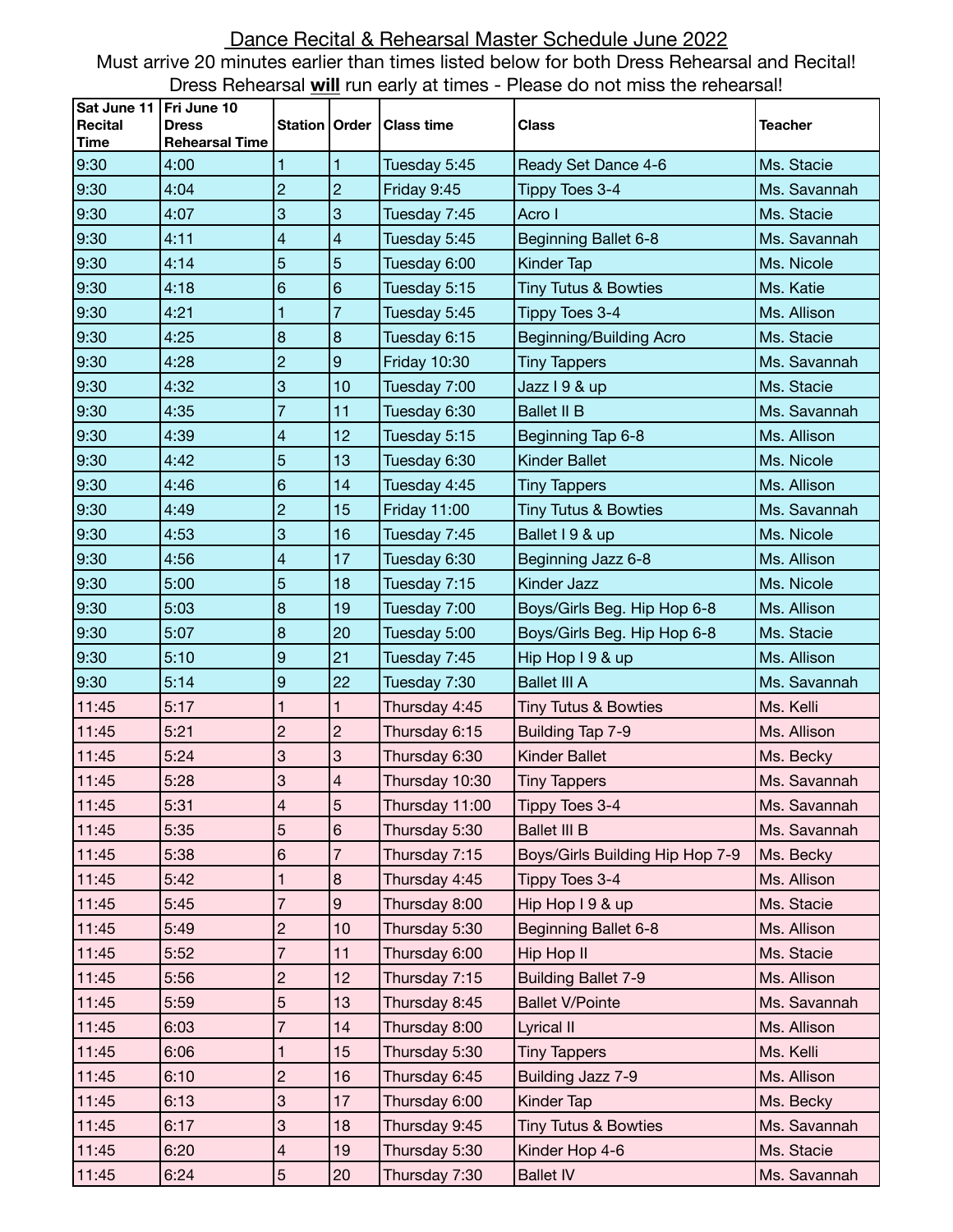## Dance Recital & Rehearsal Master Schedule June 2022 Must arrive 20 minutes earlier than times listed below for both Dress Rehearsal and Recital! Dress Rehearsal **will** run early at times - Please do not miss the rehearsal!

| Sat June 11<br>Recital<br><b>Time</b> | Fri June 10<br><b>Dress</b><br><b>Rehearsal Time</b> | <b>Station   Order</b> |                          | <b>Class time</b>   | <b>Class</b>                    | <b>Teacher</b> |
|---------------------------------------|------------------------------------------------------|------------------------|--------------------------|---------------------|---------------------------------|----------------|
| 9:30                                  | 4:00                                                 | 1                      | 1                        | Tuesday 5:45        | Ready Set Dance 4-6             | Ms. Stacie     |
| 9:30                                  | 4:04                                                 | $\overline{c}$         | $\overline{c}$           | Friday 9:45         | Tippy Toes 3-4                  | Ms. Savannah   |
| 9:30                                  | 4:07                                                 | 3                      | 3                        | Tuesday 7:45        | Acro I                          | Ms. Stacie     |
| 9:30                                  | 4:11                                                 | 4                      | $\overline{\mathcal{L}}$ | Tuesday 5:45        | <b>Beginning Ballet 6-8</b>     | Ms. Savannah   |
| 9:30                                  | 4:14                                                 | 5                      | 5                        | Tuesday 6:00        | Kinder Tap                      | Ms. Nicole     |
| 9:30                                  | 4:18                                                 | 6                      | 6                        | Tuesday 5:15        | <b>Tiny Tutus &amp; Bowties</b> | Ms. Katie      |
| 9:30                                  | 4:21                                                 | 1                      | $\overline{7}$           | Tuesday 5:45        | Tippy Toes 3-4                  | Ms. Allison    |
| 9:30                                  | 4:25                                                 | 8                      | 8                        | Tuesday 6:15        | Beginning/Building Acro         | Ms. Stacie     |
| 9:30                                  | 4:28                                                 | $\overline{c}$         | 9                        | <b>Friday 10:30</b> | <b>Tiny Tappers</b>             | Ms. Savannah   |
| 9:30                                  | 4:32                                                 | 3                      | 10                       | Tuesday 7:00        | Jazz I 9 & up                   | Ms. Stacie     |
| 9:30                                  | 4:35                                                 | 7                      | 11                       | Tuesday 6:30        | <b>Ballet II B</b>              | Ms. Savannah   |
| 9:30                                  | 4:39                                                 | 4                      | 12                       | Tuesday 5:15        | Beginning Tap 6-8               | Ms. Allison    |
| 9:30                                  | 4:42                                                 | 5                      | 13                       | Tuesday 6:30        | <b>Kinder Ballet</b>            | Ms. Nicole     |
| 9:30                                  | 4:46                                                 | 6                      | 14                       | Tuesday 4:45        | <b>Tiny Tappers</b>             | Ms. Allison    |
| 9:30                                  | 4:49                                                 | $\overline{c}$         | 15                       | <b>Friday 11:00</b> | <b>Tiny Tutus &amp; Bowties</b> | Ms. Savannah   |
| 9:30                                  | 4:53                                                 | 3                      | 16                       | Tuesday 7:45        | Ballet I 9 & up                 | Ms. Nicole     |
| 9:30                                  | 4:56                                                 | 4                      | 17                       | Tuesday 6:30        | Beginning Jazz 6-8              | Ms. Allison    |
| 9:30                                  | 5:00                                                 | 5                      | 18                       | Tuesday 7:15        | Kinder Jazz                     | Ms. Nicole     |
| 9:30                                  | 5:03                                                 | 8                      | 19                       | Tuesday 7:00        | Boys/Girls Beg. Hip Hop 6-8     | Ms. Allison    |
| 9:30                                  | 5:07                                                 | 8                      | 20                       | Tuesday 5:00        | Boys/Girls Beg. Hip Hop 6-8     | Ms. Stacie     |
| 9:30                                  | 5:10                                                 | 9                      | 21                       | Tuesday 7:45        | Hip Hop I 9 & up                | Ms. Allison    |
| 9:30                                  | 5:14                                                 | 9                      | 22                       | Tuesday 7:30        | <b>Ballet III A</b>             | Ms. Savannah   |
| 11:45                                 | 5:17                                                 | 1                      | 1                        | Thursday 4:45       | <b>Tiny Tutus &amp; Bowties</b> | Ms. Kelli      |
| 11:45                                 | 5:21                                                 | $\overline{c}$         | $\overline{c}$           | Thursday 6:15       | Building Tap 7-9                | Ms. Allison    |
| 11:45                                 | 5:24                                                 | 3                      | 3                        | Thursday 6:30       | <b>Kinder Ballet</b>            | Ms. Becky      |
| 11:45                                 | 5:28                                                 | 3                      | $\overline{\mathcal{L}}$ | Thursday 10:30      | <b>Tiny Tappers</b>             | Ms. Savannah   |
| 11:45                                 | 5:31                                                 | 4                      | 5                        | Thursday 11:00      | Tippy Toes 3-4                  | Ms. Savannah   |
| 11:45                                 | 5:35                                                 | 5                      | 6                        | Thursday 5:30       | <b>Ballet III B</b>             | Ms. Savannah   |
| 11:45                                 | 5:38                                                 | 6                      | $\overline{7}$           | Thursday 7:15       | Boys/Girls Building Hip Hop 7-9 | Ms. Becky      |
| 11:45                                 | 5:42                                                 | 1                      | 8                        | Thursday 4:45       | Tippy Toes 3-4                  | Ms. Allison    |
| 11:45                                 | 5:45                                                 | 7                      | 9                        | Thursday 8:00       | Hip Hop I 9 & up                | Ms. Stacie     |
| 11:45                                 | 5:49                                                 | $\overline{c}$         | 10                       | Thursday 5:30       | Beginning Ballet 6-8            | Ms. Allison    |
| 11:45                                 | 5:52                                                 | 7                      | 11                       | Thursday 6:00       | Hip Hop II                      | Ms. Stacie     |
| 11:45                                 | 5:56                                                 | $\overline{c}$         | 12                       | Thursday 7:15       | <b>Building Ballet 7-9</b>      | Ms. Allison    |
| 11:45                                 | 5:59                                                 | 5                      | 13                       | Thursday 8:45       | <b>Ballet V/Pointe</b>          | Ms. Savannah   |
| 11:45                                 | 6:03                                                 | 7                      | 14                       | Thursday 8:00       | Lyrical II                      | Ms. Allison    |
| 11:45                                 | 6:06                                                 | 1                      | 15                       | Thursday 5:30       | <b>Tiny Tappers</b>             | Ms. Kelli      |
| 11:45                                 | 6:10                                                 | $\overline{c}$         | 16                       | Thursday 6:45       | Building Jazz 7-9               | Ms. Allison    |
| 11:45                                 | 6:13                                                 | 3                      | 17                       | Thursday 6:00       | Kinder Tap                      | Ms. Becky      |
| 11:45                                 | 6:17                                                 | 3                      | 18                       | Thursday 9:45       | <b>Tiny Tutus &amp; Bowties</b> | Ms. Savannah   |
| 11:45                                 | 6:20                                                 | 4                      | 19                       | Thursday 5:30       | Kinder Hop 4-6                  | Ms. Stacie     |
| 11:45                                 | 6:24                                                 | 5                      | 20                       | Thursday 7:30       | <b>Ballet IV</b>                | Ms. Savannah   |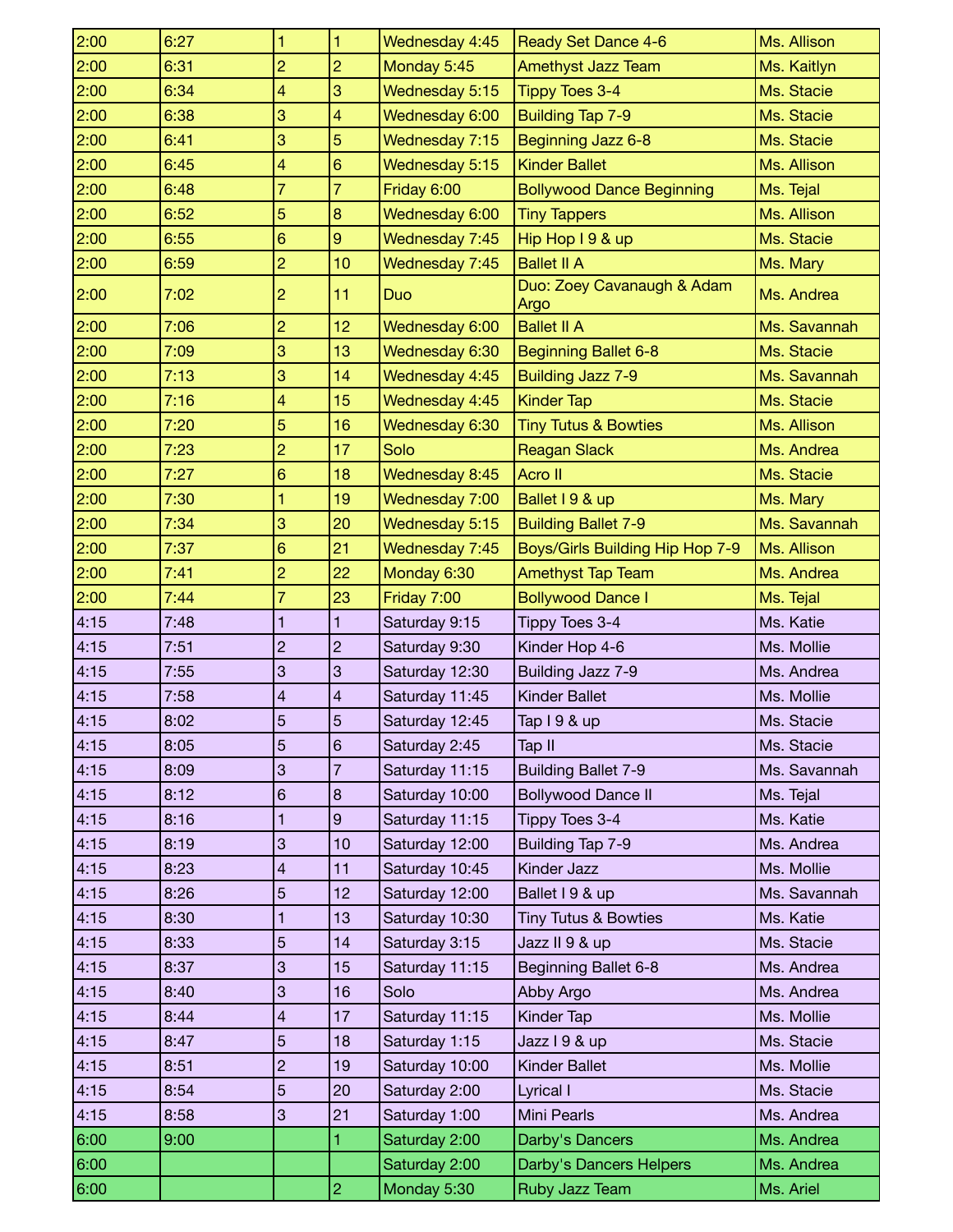| 2:00 | 6:27 | 1              | $\mathbf{1}$   | Wednesday 4:45 | <b>Ready Set Dance 4-6</b>         | Ms. Allison  |
|------|------|----------------|----------------|----------------|------------------------------------|--------------|
| 2:00 | 6:31 | $\overline{c}$ | $\overline{c}$ | Monday 5:45    | <b>Amethyst Jazz Team</b>          | Ms. Kaitlyn  |
| 2:00 | 6:34 | 4              | 3              | Wednesday 5:15 | <b>Tippy Toes 3-4</b>              | Ms. Stacie   |
| 2:00 | 6:38 | 3              | 4              | Wednesday 6:00 | <b>Building Tap 7-9</b>            | Ms. Stacie   |
| 2:00 | 6:41 | 3              | 5              | Wednesday 7:15 | Beginning Jazz 6-8                 | Ms. Stacie   |
| 2:00 | 6:45 | 4              | 6              | Wednesday 5:15 | <b>Kinder Ballet</b>               | Ms. Allison  |
| 2:00 | 6:48 | $\overline{7}$ | $\overline{7}$ | Friday 6:00    | <b>Bollywood Dance Beginning</b>   | Ms. Tejal    |
| 2:00 | 6:52 | 5              | 8              | Wednesday 6:00 | <b>Tiny Tappers</b>                | Ms. Allison  |
| 2:00 | 6:55 | 6              | $\overline{9}$ | Wednesday 7:45 | Hip Hop I 9 & up                   | Ms. Stacie   |
| 2:00 | 6:59 | $\overline{2}$ | 10             | Wednesday 7:45 | <b>Ballet II A</b>                 | Ms. Mary     |
| 2:00 | 7:02 | $\overline{c}$ | 11             | Duo            | Duo: Zoey Cavanaugh & Adam<br>Argo | Ms. Andrea   |
| 2:00 | 7:06 | $\overline{c}$ | 12             | Wednesday 6:00 | <b>Ballet II A</b>                 | Ms. Savannah |
| 2:00 | 7:09 | 3              | 13             | Wednesday 6:30 | <b>Beginning Ballet 6-8</b>        | Ms. Stacie   |
| 2:00 | 7:13 | 3              | 14             | Wednesday 4:45 | <b>Building Jazz 7-9</b>           | Ms. Savannah |
| 2:00 | 7:16 | 4              | 15             | Wednesday 4:45 | <b>Kinder Tap</b>                  | Ms. Stacie   |
| 2:00 | 7:20 | 5              | 16             | Wednesday 6:30 | <b>Tiny Tutus &amp; Bowties</b>    | Ms. Allison  |
| 2:00 | 7:23 | $\overline{2}$ | 17             | Solo           | <b>Reagan Slack</b>                | Ms. Andrea   |
| 2:00 | 7:27 | 6              | 18             | Wednesday 8:45 | Acro II                            | Ms. Stacie   |
| 2:00 | 7:30 | 1              | 19             | Wednesday 7:00 | Ballet I 9 & up                    | Ms. Mary     |
| 2:00 | 7:34 | 3              | 20             | Wednesday 5:15 | <b>Building Ballet 7-9</b>         | Ms. Savannah |
| 2:00 | 7:37 | 6              | 21             | Wednesday 7:45 | Boys/Girls Building Hip Hop 7-9    | Ms. Allison  |
| 2:00 | 7:41 | $\overline{2}$ | 22             | Monday 6:30    | <b>Amethyst Tap Team</b>           | Ms. Andrea   |
| 2:00 | 7:44 | $\overline{7}$ | 23             | Friday 7:00    | <b>Bollywood Dance I</b>           | Ms. Tejal    |
|      |      |                |                |                |                                    |              |
| 4:15 | 7:48 | 1              | 1              | Saturday 9:15  | Tippy Toes 3-4                     | Ms. Katie    |
| 4:15 | 7:51 | $\overline{c}$ | $\overline{c}$ | Saturday 9:30  | Kinder Hop 4-6                     | Ms. Mollie   |
| 4:15 | 7:55 | 3              | 3              | Saturday 12:30 | Building Jazz 7-9                  | Ms. Andrea   |
| 4:15 | 7:58 | 4              | 4              | Saturday 11:45 | <b>Kinder Ballet</b>               | Ms. Mollie   |
| 4:15 | 8:02 | 5              | $\overline{5}$ | Saturday 12:45 |                                    | Ms. Stacie   |
| 4:15 | 8:05 | 5              | $6\phantom{1}$ | Saturday 2:45  | Tap I 9 & up<br>Tap II             | Ms. Stacie   |
| 4:15 | 8:09 | 3              | $\overline{7}$ | Saturday 11:15 | <b>Building Ballet 7-9</b>         | Ms. Savannah |
| 4:15 | 8:12 | 6              | 8              | Saturday 10:00 | <b>Bollywood Dance II</b>          | Ms. Tejal    |
| 4:15 | 8:16 | 1              | 9              | Saturday 11:15 | Tippy Toes 3-4                     | Ms. Katie    |
| 4:15 | 8:19 | 3              | 10             | Saturday 12:00 | Building Tap 7-9                   | Ms. Andrea   |
| 4:15 | 8:23 | 4              | 11             | Saturday 10:45 | Kinder Jazz                        | Ms. Mollie   |
| 4:15 | 8:26 | 5              | 12             | Saturday 12:00 | Ballet I 9 & up                    | Ms. Savannah |
| 4:15 | 8:30 | 1              | 13             | Saturday 10:30 | <b>Tiny Tutus &amp; Bowties</b>    | Ms. Katie    |
| 4:15 | 8:33 | 5              | 14             | Saturday 3:15  | Jazz II 9 & up                     | Ms. Stacie   |
| 4:15 | 8:37 | 3              | 15             | Saturday 11:15 | Beginning Ballet 6-8               | Ms. Andrea   |
| 4:15 | 8:40 | 3              | 16             | Solo           | Abby Argo                          | Ms. Andrea   |
| 4:15 | 8:44 | 4              | 17             | Saturday 11:15 | Kinder Tap                         | Ms. Mollie   |
| 4:15 | 8:47 | 5              | 18             | Saturday 1:15  | Jazz I 9 & up                      | Ms. Stacie   |
| 4:15 | 8:51 | $\overline{2}$ | 19             | Saturday 10:00 | Kinder Ballet                      | Ms. Mollie   |
| 4:15 | 8:54 | 5              | 20             | Saturday 2:00  | Lyrical I                          | Ms. Stacie   |
| 4:15 | 8:58 | $\mathbf{3}$   | 21             | Saturday 1:00  | <b>Mini Pearls</b>                 | Ms. Andrea   |
| 6:00 | 9:00 |                | 1              | Saturday 2:00  | Darby's Dancers                    | Ms. Andrea   |
| 6:00 |      |                |                | Saturday 2:00  | Darby's Dancers Helpers            | Ms. Andrea   |